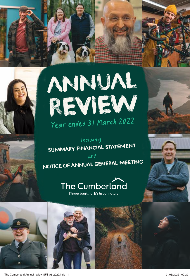





### Including SUMMARY FINANCIAL STATEMENT

and the same of  $\mathcal{A}$ NOTICE OF ANNUAL GENERAL MEETING and

## The Cumberland

Kinder banking. It's in our nature.

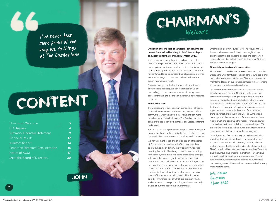I've never been more proud of the way we do things at The Cumberland

# CONTENT

**3**

**9**

| Chairman's Welcome                 | 3  |
|------------------------------------|----|
| <b>CEO Review</b>                  | 4  |
| <b>Summary Financial Statement</b> | 9  |
| <b>Financial Results</b>           | 12 |
| Auditor's Report                   | 14 |
| Report on Directors' Remuneration  | 15 |
| Notice of AGM                      | 17 |
| Meet the Board of Directors        | 20 |



## CHAIRMAN'S Welcome

### **On behalf of your Board of Directors, I am delighted to present Cumberland Building Society's Annual Report and Accounts for the year ended 31 March 2022.**

It has been another challenging and unpredictable period as the pandemic continued to disrupt the lives of our people, our customers and our business for far longer than many might have predicted. Despite this, our team has continued to do an outstanding job under sometimes extremely trying circumstances and our business has grown stronger as a result.

I'm proud to say that the hard work and commitment of our people has not just been recognised by us, but resoundingly by our customers and our industry peers alike, contributing to a range of awards we have received this year.

### **Values & Purpose**

The Cumberland is built upon an authentic set of values that are focused on our customers, our people, and the communities we live and work in. I've never been more proud of the way we do things at The Cumberland. I truly believe this approach is what makes our Society different and unique.

Having previously expressed our purpose through Brighter Banking, we have evolved and refined this to better reflect the needs of our customers and the wider world around us.

We have come through the challenges and tragedies of Covid, with its detrimental effect on many lives and livelihoods, and many in our communities face ongoing hardship. The rising cost of living, including, for example, increasing fuel costs and energy charges, will no doubt have a significant impact on many households and businesses as the year unfolds, and we must continue to provide and enhance our support for those that need it wherever we can. Our communities continue to face difficult social challenges, such as a lack of financial education, mental health issues and discrimination, all of which are areas in which we believe we have a part to play, and we are acutely aware of our impact on the environment.

By embracing our new purpose, we will focus on these issues, and we are committing to creating banking experiences that are kinder to people and planet. You can read more about this in the Chief Executive Officer's business review on page 5.

#### **Financial position & profit expectation**

Financially, The Cumberland remains in a strong position. Despite the uncertainties of the pandemic, our arrears and bad debts remain remarkably low. This is because we've maintained focus on our core residential business - lending to people so that they can buy a home.

On the commercial side, our specialist sector expertise is in the hospitality sector. After the challenges many have experienced just trying to keep going during the lockdowns and other Covid-related restrictions, we are pleased to see so many businesses are now back on their feet and thriving again. Using their individual business expertise, they have made the most of the increased trend towards holidaying in the UK. The Cumberland has supported them every step of the way as they have had to pivot and cope with the feast or famine nature of running hospitality and holiday businesses this year. We are looking forward to seeing our commercial customers continue to rebuild and prosper this coming year.

Overall, the next few years are going to be a period of investment for us, with our focus firmly set on the next stage of our transformation journey, building a better building society for the long-term benefit of its members. The Cumberland has been serving the people of Cumbria and the surrounding areas for more than 170 years and the work we do now will ensure we continue to flourish and prosper by improving and enhancing our services and making a real difference in our communities for many more years to come.

John Hooper Chairman 1 June 2022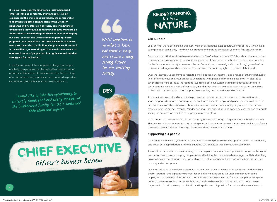**It is never easy transitioning from a sustained period of instability and constantly changing rules. We all experienced the challenges brought by the considerably longer than expected continuation of the Covid-19 pandemic and its effects on business, personal finances, and people's individual health and wellbeing. Managing a financial institution during this time has been challenging, but dare I say that The Cumberland was perhaps better prepared than some others. We have been able to draw on nearly two centuries of solid financial prudence. However, it is the resilience, outstanding attitude and commitment of a fantastic team of people that has again ensured another strong year for the business.** 

In the face of some of the strongest challenges our people are likely to experience, they helped deliver another year of growth, established the platform we need for the next stage of our transformation programme, and continued to provide exceptional award-winning service to our customers.

I would like to take this opportunity to sincerely thank each and every member of the Cumberland family for their continued dedication and support.

We'll continue to do what is kind, not what is easy, and secure a long, strong future for our building society.



CHIEF EXECUTIVE Officer's Business Review

### KINDER BANKING.  $It's$  in our NATURE.

### **Our purpose**

Look at what we've got here in our region. We're in perhaps the most beautiful corner of the UK. We have a strong sense of community – and we have creative and exciting businesses you won't find anywhere else.

Community and kindness have been at the heart of The Cumberland since 1850, but what this means to our customers, and how we show it, has continually evolved. As we develop our business to remain sustainable for the future, now is the right time to evolve our Society's purpose to align with the changing needs of our customers, colleagues and communities. The purpose is our 'guiding light' that drives all that we do.

Over the last year, we took time to listen to our colleagues, our customers and a range of other stakeholders in a series of surveys and focus groups to understand what people think and expect of us. I'm pleased to say the results were positive. The feedback suggested both our customers and colleagues alike want to see us continue making a real difference but, in order that what we do not be restricted to our immediate stakeholders, we must consider our impact on our society and the wider world around us.

As a result, we have refined our business purpose and relaunched it as we head into this new financial year. Our goal is to create a banking experience that is kinder to people and planet, and this will drive the decisions we make, the actions we take and the way we measure our impact going forward. The purpose manifests itself in our new strapline 'Kinder banking. It's in our nature.' and I am very much looking forward to seeing the business focus on this as we progress with our plans.

We'll continue to do what is kind, not what is easy, and secure a long, strong future for our building society. This next stage in our journey is a very exciting one, and our new purpose will ensure we're looking out for our customers, communities, and countryside – now and for generations to come.

### **Supporting our people**

It became clear early last year that the new ways of working that were forced upon us during the pandemic, and which our people adapted to so well during 2020 and 2021, would continue in some way.

Ahead of our head office teams returning to the workplace, we made some significant changes to the layout and design in response to keeping people safe and helping them work even better together. Hybrid working has now become our standard practice, with people still working from home part of the time and sharing reconfigured office spaces.

Our head office has a new look, in line with the new ways in which we are using the spaces, with breakout booths, areas for small groups to sit together and mini meeting areas. We understand that for some employees, the anxieties of the last two years will take time to reduce, and for other people, working from home has been convenient and enjoyable, and they have been able to thrive and be as productive as they were in the office. We support hybrid working wherever it is possible for a role and have not issued a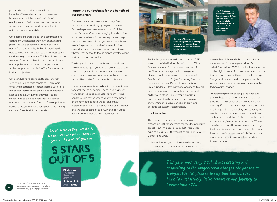prescriptive instruction about who must be in the office and when. As a business, we have experienced the benefits of this, with employees who feel appreciated and respected, trusted to do their best work in the spirit of autonomy and responsibility.

Our people are professional and committed and each team understands their own priorities and processes. We also recognise that in the 'new normal', the opportunity for hybrid working will help us to attract new talent to the business as we continue to grow our teams. This has given us access to some of the best talent in the industry, allowing us to supplement and develop our people to further support us in achieving The Cumberland's business objectives.

Our branches have continued to deliver great service in often adverse conditions. There were times when national restrictions forced us to close or operate shorter hours, but disruption has been kept to a minimum. Earlier this year – at last – we returned to a place where we felt it safe to reintroduce an element of face-to-face appointment based service, and it has been great to see smiling customer faces back in our branches.

### **Improving our business for the benefit of our customers**

Changing behaviours have meant many of our customers are increasingly opting to telephone us. During the year we have invested in our Carlislebased Customer Care team, bringing in and training more people to be available on the phones to help customers. We have not changed in our commitment to offering multiple channels of communication, depending on what suits each individual customer, whether that be face-to-face in branch, over the phone and, increasingly now, online.

The hospitality sector is also bouncing back after two very challenging years of lockdowns. We've seen a return to growth in our business within the sector and have now invested in an intermediary channel that will help drive further growth in this area.

The year saw us continue to build on our reputation for excellence in customer service. In January, we were delighted to earn a Feefo Platinum Trusted Service Award for the second year in a row. Based on the ratings feedback, we ask all our new customers to give us, 9 out of 10\* gave us 5 stars out of 5. We also collected the In-Cumbria Best Large Business of the Year award in November 2021.

Based on the ratings feedback we ask all our new customers to give us, 9 out of 10\* gave us

5 STARS OUT OF 5

> **Platinum** Trusted Service Award \*\*\*\*\*

**Our head office reopened earlier this year after a redesign to provide an improved and more efficient environment for hybrid working.**

> Earlier this year, we were thrilled to attend OPEX Week, part of the Business Transformation World Summit in Miami, Florida, where members of our Operations team picked up two global Operational Excellence Awards. These were for Best Transformation Project Delivering Customer Excellence and Best Process Transformation Project Under 90 Days category for our end-to-end bereavement process review. To be recognised on the world stage is quite simply amazing, and testament to the impact of our team as they continue to pursue our goal of providing exceptional customer experiences.

### **Looking ahead**

This year was very much about resetting and responding to the longer-term changes the pandemic brought, but I'm pleased to say that these issues have had relatively little impact on our journey to Cumberland 2025.

As I wrote last year, our business needs to undergo a transformation in order that it can remain a



This year was very much about resetting and responding to the longer-term changes the pandemic brought, but I'm pleased to say that these issues have had relatively little impact on our journey to  $\frac{1074 \text{ out of } 1,204 \text{ new customers}}{2022 \text{ items of } 2022}$  feefo<sup>co</sup>

**Alex Windle took up the new role of Chief Transformation Officer during the year, and is responsible for delivering the future digital needs of our customers and our business.** 

sustainable, viable and vibrant society for our members and for future generations. Our plan, called Cumberland 2025, is predominately focused on the digital needs of both our customers and our business and is now at the end of the first stage. The groundwork required is complete and this year will see us begin working on delivering the technological change.

Transforming a multi-billion pound financial services business is, unfortunately, not a quick process. The first phase of the programme has seen significant investment in planning, research and bringing in the capability and capacity we need to make it a success, as well as simplifying our business model. I'm minded to consider the old tailor's saying, "Measure twice, cut once." These are wise words, and it was absolutely vital to get the foundations of this programme right. This has involved careful assessment of all of our current processes in order to prepare them for digital transformation.

**6**

(includes existing customers who take a new product (e.g. mortgage renewals))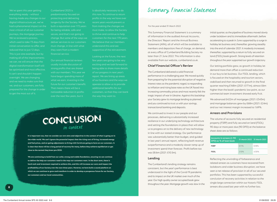We've spent this year getting having made any changes to our digital infrastructure yet, we've had a phenomenal impact on the most critical of all our customer journeys, the mortgage journey. We've reviewed a process, which used to take 73 days from reduced that to just 12 days. This is just one example, but by making all of the improvements we can, we will ensure that the be optimised and most effective. It can't and shouldn't happen overnight. We are changing and we need to make sure that we, and our customers, are fully prepared for the change in order to get the most out of it.

Cumberland 2025 is predominantly focused on protecting and delivering longevity for the Society. We've built a reputation over 172 years for being reliable, safe and secure, and that's not going to change. But some of the ways we deliver services to our customers must change, in line with what financial service.

Our annual financial reviews usually include discussion of strong profits that are shared with our members. This year we have begun spending more of what we earn, investing in the future for our customer's benefit. That means there will be a noticeable reduction in profits over the next few years, but it

is absolutely necessary to do this now. To continue to return recent years would prevent us from making the changes we must make, to allow the Society to thrive and continue to help customers for the next 170 years. We believe that our members understand this and are supportive of the reinvestment.

Looking at the future, the next few years are going to be very exciting and we look forward to being able to share more details of our progress in next year's report. We are lining up areas of our business and the ways we operate to allow us to provide additional benefits for our customers, so that they can bank the way they want to.

### CONCLUSION in context

is clear that there will be a long period of recovery for many, before they achieve equilibrium or get<br>also the his game of the village ages 2020 **It is important too, that we consider our own aims and objectives in the context of what is going on in the wider world. We can't ignore the potential impact that the rising cost of living, increased energy and fuel prices, and on-going adjustments to living with Covid are going to have on our customers. It close to the normal they knew pre-2020.** 

We are continuing to build from our solid, strong and stable foundation, ensuring we can continue<br>to deliver the help our curtomers pood in the wave our curtomers want. In the sheet term, there is **to deliver the help our customers need in the ways our customers want. In the short term, there is hard work and investment required to achieve this, and this will increase our costs and impact the profitability of our Society over the next three years. However, we have built a sound platform on which we can continue to grow and transform in order to develop a prosperous future for our Society, our customers and our local communities.**

### Summary Financial Statement

For the year ended 31 March 2022

This Summary Financial Statement is a summary of information in the audited Annual Accounts, the Directors' Report and the Annual Business Statement (ARA), all of which will be available to members and depositors free of charge, on demand, at every office of Cumberland Building Society no later than 21 June 2022. This information is also available from our website, cumberland.co.uk.

### **Chief Financial Officer's Review**

The Cumberland delivered a solid financial performance in a challenging year. We moved quickly from preparing for the potential disruption of negative interest rates as the pandemic raged, to responding to inflation and rising base rates as the UK faced into increasing commodity prices and most recently felt the tragic impact of war in Ukraine. Against this backdrop your Society grew its mortgage lending as planned and you continued to trust us with your savings, transactional banking and deposits.

We continued to invest in our people and our processes, delivering a substantially increased resilience in our underlying technology architecture and setting the foundations in place that will allow us to progress on to the delivery of new technology in line with our stated strategy. Our performance was substantially better than budget, and guided in last year's annual report, reflecting both revenue outperformance and a modestly slower ramp up of investment spend than forecast. Profit before tax was £8.6m (2021: £10.5m).

### **Lending**

The Cumberland's lending strategy remains consistent, but the year's performance is best understood in the light of the Covid-19 pandemic and its impact on the UK market over much of the year. Our high quality owner occupied book grew throughout the year. Mortgage growth was slow in the

initial quarter, as the pipeline of business moved slowly under lockdown and its immediate aftermath, before accelerating to a peak in June supported by a surge in holiday let business and, thereafter, growing steadily into the end of calendar 2021. It modestly increased, thereafter, supported by a return to fully secured on land (FSOL) book growth. Strong levels of retention throughout the year supported our growth trajectory.

Our letting portfolio grew, as growth in holiday let demand more than offset a continued reduction in our buy to let business. Our FSOL lending, which is focused on the hospitality and tourism sectors, stabilised and then returned to growth in the final quarter reaching £168m (2021: £171m), almost £6m higher than the book's pandemic low point, as our commercial team investment showed early fruit.

We advanced £422m of mortgages (2021: £343m) and mortgage balances grew by £68m (2021: £24m) and our net interest margin increased to 1.69%.

### **Arrears and Provisions**

The volume of accounts fully secured on residential property (FSRP) and fully secured on land (FSOL) 90 days or more past due (90 DPD) at the balance sheet date are as follows:

| Accounts in arrears ( $\geq 90$<br>DPD) as % of loan book | 31 March 2022 31 March 2021 |       |
|-----------------------------------------------------------|-----------------------------|-------|
| <b>FSRP</b>                                               | 011%                        | 018%  |
| <b>FSOL</b>                                               | 210%                        | 4 30% |

Reflecting the unwinding of forbearance and related arrears as customers have recovered from lockdowns and wider business disruption, we have seen a net release of provision in all of our secured portfolios. This has been supported by successful conclusion of recovery activities in relation to the single large connection within our historic FSOL arrears discussed last year with no further loss.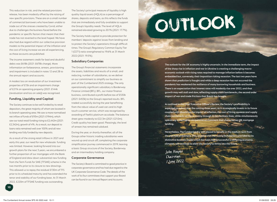This reduction in risk, and the related provisions release, has been modestly offset by the raising of new specific provisions. These are on a small number of commercial borrowers who have been unable to trade out of the stresses created by Covid, either due to challenges the business faced before the pandemic or specific factors that meant that their trade has not reverted to the level hoped. We have also had due regard within our collective provision models to the potential impact of the inflation and the cost of living increase we are all experiencing, as these accounts are published.

The income statement credit for bad and doubtful debts was £618k (2021: £678k charge). More information on forbearance, arrears, provisioning and impairment is included in notes 12 and 28 to the annual report and accounts.

A modest loss on revaluation of our investment properties of £15k and an impairment charge of £211k on operating property (2021: £144k (revaluation and loss on sale)) was recognised.

### **Funding, Liquidity and Capital**

The Society continues to be well funded by its retail depositors, the great majority of whom are located in its branch operating area. We saw a more normalised net inflow of funds of £93m (2021: £194m), which saw our total retail funding rising to £2,442m (2021: £2,342m), growth of 4%. As a result, our deposit to loans ratio remained well over 100% and all new lending was fully funded by new deposits.

As a result of the strong retail inflows in 2021 and early this year, our need for new wholesale funding was limited. However, looking forward into our growth plans for the next 3 years, we encumbered a further proportion of our mortgages with the Bank of England and drew down substantial new funding from the Term Funds for SME (TFSME) scheme in the two months prior to its closure to new drawings. This allowed us to repay the residual £130m of TFS prior to its scheduled maturity and has extended the tenor and stability of our funding base. At 31 March 2022, £220m of TFSME funding was outstanding.

The Society's principal measure of liquidity is high quality liquid assets (HQLA) as a percentage of shares, deposits and loans, as this reflects the funds that are immediately and fully available to support the Group's liquidity needs. The level of HQLA remained elevated growing to 20.1% (2021: 17.7%).

The Society holds capital to provide protection for members' deposits against losses from lending and to protect the Society's operations through difficult times. The Group's Regulatory Common Equity Tier 1 (CET1) ratio strengthened to 19.6% at 31 March 2022 (2021: 19.5%).

### **Subsidiary Companies**

The Group's financial statements incorporate the assets, liabilities and results of a small, and reducing, number of subsidiaries, as we deliver on our commitment to simplify our business as part of the Cumberland 2025 strategy. The only operationally significant subsidiary is Borderway Finance Limited (BFL). BFL, our motor finance business, contributed a profit before tax of £530k (2021: £453k) to the Group's reported results. BFL traded successfully during the year benefitting from the robust value of used cars and its high touch customer service, which was recognised by awarding of Feefo's platinum accolade. The balance sheet grew modestly to £22.3m (2021: £21.0m). Credit quality has been good. Pleasingly, the level of arrears has remained subdued.

During the year, or shortly thereafter, all of the Groups other historic trading subsidiaries were wound up and struck off, completing the corporate simplification journey commenced in 2019, leaving a basic Group structure of the Society, Borderway and an intermediary holding company.

### **Corporate Governance**

The Society's Board is committed to good practice in corporate governance and has had due regard to the UK Corporate Governance Code. The details of the work of its four committees that support your Board can be found in our Annual Report and Accounts.

# OUTLOOK

**The outlook for the UK economy is highly uncertain. In the immediate term, the impact of the sharp rise in inflation and war in Ukraine is creating a challenging macroeconomic outlook with rising rates required to manage inflation before it becomes embedded but, conversely, their imposition risking recession. The last two years have shown that prediction is fraught and while a deep recession has not occurred the pandemic has weakened the resilience of many borrowing households and business. There is an expectation that interest rates will modestly rise over 2022, and that growth may well stall and slow, reflecting supply chain bottlenecks, the second order impact of war and trade frictions that Brexit has bought.** 

**As outlined in the Chief Executive Officer's Review, the Society's profitability is expected to reduce over the coming three years, as it strategically invests in its future coupled with absorbing the impact of inflation, the cost of living squeeze and supply chain bottlenecks on the economy through its key business lines, while simultaneously operating in the highly competitive environment that characterises UK mortgage lending. Program** 

**Nevertheless, The Cumberland is well placed to benefit in the medium term from the planned investment. This, coupled with the strong foundations provided by its distinctive business model which has been highly successful in differing economic climates, will continue to allow the Society to thrive into the future.**

John Hooper Chairman 1 June 2022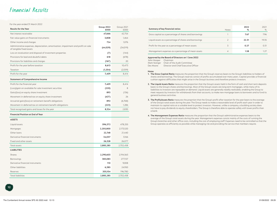### Financial Results

For the year ended 31 March 2022

| <b>Results for the Year</b>                                                                                    | Group 2022<br>£000 | Group 2021<br>£000 |
|----------------------------------------------------------------------------------------------------------------|--------------------|--------------------|
| Net interest receivable                                                                                        | 47,666             | 42,754             |
| Fair value gains on financial instruments                                                                      | 3,808              | 1,464              |
| Other income and charges                                                                                       | 724                | 1,076              |
| Administrative expenses, depreciation, amortisation, impairment and profit on sale<br>of tangible fixed assets | (44, 029)          | (34,019)           |
| Loss on revaluation and disposal of investment properties                                                      | (7)                | (144)              |
| Provisions for bad and doubtful debts                                                                          | 618                | (678)              |
| Provisions for liabilities and charges                                                                         | (167)              | 20                 |
| Profit for the year before taxation                                                                            | 8,613              | 10,473             |
| Taxation                                                                                                       | (1, 204)           | (2,059)            |
| Profit for the year                                                                                            | 7,409              | 8,414              |
| <b>Statement of Comprehensive Income</b>                                                                       |                    |                    |
| Profit for the financial year                                                                                  | 7,409              | 8,414              |
| (Loss)/gain on available for sale investment securities                                                        | (220)              | 8                  |
| Gain/(loss) on equity share investment                                                                         | 893                | (136)              |
| Movement in deferred tax on equity share investment                                                            | (427)              | 26                 |
| Actuarial gain/(loss) on retirement benefit obligations                                                        | 892                | (6,768)            |
| Movement in deferred tax on retirement benefit obligations                                                     | (223)              | 1,286              |
| Total recognised gains and losses for the year                                                                 | 8,324              | 2,830              |
| <b>Financial Position at End of Year</b>                                                                       |                    |                    |
| <b>ASSETS</b>                                                                                                  |                    |                    |
| Liquid assets                                                                                                  | 596,372            | 478,255            |
| Mortgages                                                                                                      | 2,205,800          | 2,173,520          |
| Other loans                                                                                                    | 22,748             | 21,440             |
| Derivative financial instruments                                                                               | 34,037             | 3,166              |
| Fixed and other assets                                                                                         | 26,328             | 26,077             |
| Total assets                                                                                                   | 2,885,285          | 2,702,458          |
| <b>LIABILITIES</b>                                                                                             |                    |                    |
| Shares                                                                                                         | 2,290,603          | 2,194,563          |
| <b>Borrowings</b>                                                                                              | 383,083            | 277,157            |
| Derivative financial instruments                                                                               | 110                | 9,008              |
| Other liabilities                                                                                              | 6,385              | 24,950             |
| Reserves                                                                                                       | 205,104            | 196,780            |
| <b>Total liabilities</b>                                                                                       | 2,885,285          | 2,702,458          |
|                                                                                                                |                    |                    |

| Summary of key financial ratios                        | <b>Notes</b> | 2022<br>% | 2021<br>$\%$ |
|--------------------------------------------------------|--------------|-----------|--------------|
| Gross capital as a percentage of shares and borrowings |              | 7.67      | 7.96         |
| Liquid assets as a percentage of shares and borrowings |              | 22.31     | 19.35        |
| Profit for the year as a percentage of mean assets     | 3            | 0.27      | 0.31         |
| Management expenses as a percentage of mean assets     |              | 1.58      |              |

#### **Approved by the Board of Directors on 1 June 2022**

John Hooper Chairman

Mark Stanger Chair of the Audit Committee Des Moore Director and Chief Executive Officer

#### **Notes**

- **1. The Gross Capital Ratio** measures the proportion that the Group's reserves bears to the Group's liabilities to holders of shares and borrowings. The Group's reserves consist of profits accumulated over many years. Capital provides a financial cushion against difficulties that might arise in the Group's business and therefore protects investors.
- **2. The Liquid Assets Ratio** measures the proportion that the Group's assets held in the form of cash and short term deposits bears to the Group's shares and borrowings. Most of the Group's assets are long term mortgages, while many of its liabilities to investors are repayable on demand. Liquid assets are generally readily realisable, enabling the Group to meet requests by investors for withdrawals from their accounts, to make new mortgage loans to borrowers and to fund its general business activities.
- **3. The Profit/Assets Ratio** measures the proprtion that the Group's profit after taxation for the year bears to the average of the Group's total assets during the year. The Group needs to make a reasonable level of profit each year in order to maintain its capital ratio at a suitable level to protect investors. However, unlike a company, a building society does not have to pay dividends to equity shareholders. The Group is therefore able to operate safely with lower profits than a bank.
- **4. The Management Expenses Ratio** measures the proportion that the Group's administrative expenses bears to the average of the Group's total assets during the year. Management expenses consist mainly of the costs of running the Group's branches and other office costs, including the cost of employing staff. Expenses need to be controlled so that the Group operates as efficiently as possible while managing risk and providing the service that members require.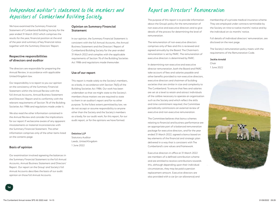### Independent auditor's statement to the members and depositors of Cumberland Building Society

We have examined the Summary Financial Statement of Cumberland Building Society for the year ended 31 March 2022 which comprises the results for the year, financial position at the end of the year and summary of key financial ratios together with the Summary Directors' Report.

### **Respective responsibilities of directors and auditor**

The directors are responsible for preparing the Annual Review, in accordance with applicable United Kingdom law.

Our responsibility is to report to you our opinion on the consistency of the Summary Financial Statement within the Annual Review with the full Annual Accounts, Annual Business Statement and Directors' Report and its conformity with the relevant requirements of Section 76 of the Building Societies Act 1986 and regulations made under it.

We also read the other information contained in the Annual Review and consider the implications for our report if we become aware of any apparent misstatements or material inconsistencies with the Summary Financial Statement. The other information comprises only of the other items listed on the contents page.

### **Basis of opinion**

**14**

Our examination involved agreeing the balances in the Summary Financial Statement to the full Annual Accounts, Annual Business Statement and Directors' Report. Our report on the Group' and Society's full Annual Accounts describes the basis of our audit opinion on those full Annual Accounts.

### **Opinion on Summary Financial Statement**

In our opinion, the Summary Financial Statement is consistent with the full Annual Accounts, the Annual Business Statement and the Directors' Report of Cumberland Building Society for the year ended 31 March 2022 and complies with the applicable requirements of Section 76 of the Building Societies Act 1986 and regulations made thereunder.

### **Use of our report**

This report is made solely to the Society's members, as a body, in accordance with Section 76(5) of the Building Societies Act 1986. Our work has been undertaken so that we might state to the Society's members those matters we are required to state to them in an auditor's report and for no other purpose. To the fullest extent permitted by law, we do not accept or assume responsibility to anyone other than the Society and the Society's members as a body, for our audit work, for this report, for our audit report, or for the opinions we have formed.

### **Deloitte LLP**

Statutory Auditor Leeds, United Kingdom 1 June 2022

### Report on Directors' Remuneration

The purpose of this report is to provide information about the Group's policy for the remuneration of non-executive and executive directors and to give details of the process for determining the level of remuneration.

The remuneration of non-executive directors comprises only of fees and this is reviewed and agreed annually by the Board. The Chairman's remuneration is set by PARC. The remuneration of executive directors is determined by PARC.

In determining non-executive and executive director remuneration, both the Board and PARC take account of fees and salaries payable and other benefits provided to non-executive directors, executive directors and chairmen of building societies that are similar in size and complexity to The Cumberland. To ensure that fees and salaries are set at a level to retain and attract individuals of the calibre necessary to operate an organisation such as the Society and which reflect the skills and time commitment required, the Committee periodically commissions an external review of executive and non-executive remuneration.

The Committee believes that bonus schemes relating to financial and business performance are an appropriate part of a balanced remuneration package for executive directors, and for the year ended 31 March 2022, agreed a bonus based on key elements of the financial and strategic plan delivered in a way that is consistent with The Cumberland's core values and framework.

Executive directors in office at 31 March 2022 are members of a defined contribution scheme and are entitled to receive contributions towards this, although depending upon their individual circumstances, they may be paid a pension replacement amount. Executive directors are also provided with a car (or car allowance) and

membership of a private medical insurance scheme. They are employed under contracts terminable by the Society on nine to twelve months' notice and by the individual on six months' notice.

Full details of individual directors' remuneration, are disclosed on the next page.

The Society's remuneration policy meets with the requirements of the Remuneration Code.

**Jackie Arnold** Chair 1 June 2022

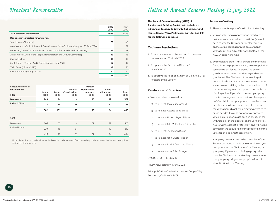|                                                                                        | 2022<br>£000 | 2021<br>£000 |
|----------------------------------------------------------------------------------------|--------------|--------------|
| Total directors' remuneration                                                          | 1,044        | 1,006        |
| Non-executive directors' remuneration                                                  |              |              |
| John Hooper (Chairman)                                                                 | 70           | 68           |
| Alan Johnston (Chair of the Audit Committee and Vice-Chairman) (resigned 30 Sept 2020) |              | 27           |
| Eric Gunn (Chair of the Board Risk Committee and Senior Independent Director)          | 48           | 47           |
| Jackie Arnold (Chair of the People, Remuneration and Culture Committee)                | 48           | 46           |
| Michael Hulme                                                                          | 45           | 44           |
| Mark Stanger (Chair of Audit Committee since July 2020)                                | 52           | 49           |
| Vicky Bruce (29 Sept 2020)                                                             | 42           | 21           |
| Kelli Fairbrother (29 Sept 2020)                                                       | 41           | 20           |
|                                                                                        | 346          | 322          |

| Executive directors'<br>remuneration<br>2022 | Salary<br>£000 | Bonus<br>£000 | Pension<br>Contributions<br>£000 | Pension<br>Replacement<br>Amounts<br>£000 | Other<br>Allowances<br>£000 | Total<br>£000 |
|----------------------------------------------|----------------|---------------|----------------------------------|-------------------------------------------|-----------------------------|---------------|
| Des Moore                                    | 268            | 54            | $\qquad \qquad$                  | 38                                        | 12                          | 372           |
| <b>Richard Ellison</b>                       | 234            | 47            | 33                               | $\overline{\phantom{a}}$                  | 12                          | 326           |
|                                              | 502            | 101           | 33                               | 38                                        | 24                          | 698           |
| 2021                                         |                |               |                                  |                                           |                             |               |
| Des Moore                                    | 263            | 53            |                                  | 37                                        | 12                          | 365           |
| <b>Richard Ellison</b>                       | 230            | 46            | 31                               | $\qquad \qquad -$                         | 12                          | 319           |
|                                              | 493            | 99            | 31                               | 37                                        | 24                          | 684           |

None of the directors had an interest in shares in, or debentures of, any subsidiary undertaking of the Society at any time during the financial year.

### Directors' Remuneration Notice of Annual General Meeting 12 July 2022

**The Annual General Meeting (AGM) of Cumberland Building Society will be held at 4.00pm on Tuesday 12 July 2022 at Cumberland House, Cooper Way, Parkhouse, Carlisle, CA3 0JF for the following purposes:**

### **Ordinary Resolutions**

- 1. To receive the Annual Report and Accounts for the year ended 31 March 2022.
- 2. To approve the Report on Directors' Remuneration.
- 3. To approve the re-appointment of Deloitte LLP as Auditors of the Society.

### **Re-election of Directors**

- 4. To re-elect directors as follows:
- a) to re-elect Jacqueline Arnold
- b) to re-elect Victoria Jane Bruce
- c) to re-elect Richard Bryan Ellison
- d) to re-elect Kelli McKechnie Fairbrother
- e) to re-elect Eric Richard Gunn
- f) to re-elect John Elliott Hooper
- g) to re-elect Patrick Desmond Moore
- h) to re-elect Mark John Stanger

BY ORDER OF THE BOARD

Paul Vines, Secretary, 1 June 2022

Principal Office: Cumberland House, Cooper Way, Parkhouse, Carlisle CA3 0JF

### **Notes on Voting**

- 1. These Notes form part of the Notice of Meeting.
- 2. You can vote using a paper voting form by post, online at www.cumberland.co.uk/AGM (you will need to scan the QR code or to enter your two online voting codes as printed on your paper voting form) and, subject to note 4 below, at the AGM in person or online.
- 3. By completing either Part 1 or Part 2 of the voting form, either on paper or online, you are appointing someone to act for you (a proxy). The person you choose can attend the Meeting and vote on your behalf. The Chairman of the Meeting will automatically act as your proxy unless you choose someone else by filling in the box at the bottom of the paper voting form; this option is not available if voting online. If you wish to instruct your proxy to vote for or against the resolutions, please place an 'X' or click in the appropriate box on the paper or online voting forms respectively. If you leave the voting boxes blank, your proxy may vote as he or she decides. If you do not want your proxy to vote on a resolution, place an 'X' in or click on the withheld box on the paper or online voting forms. A vote withheld is not a vote in law and will not be counted in the calculation of the proportion of the votes for and against the resolution.

Your proxy does not need to be a member of the Society, but must pre-register to attend unless you are appointing the Chairman of the Meeting as your proxy. If you are appointing a proxy other than the Chairman of the Meeting, please ensure that your proxy brings an appropriate form of identification to the Meeting.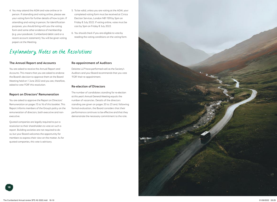- 4. You may attend the AGM and vote online or in person. If attending and voting online, please see your voting form for further details of how to join. If attending and voting in person, for identification purposes, you should bring with you the voting form and some other evidence of membership (e.g. your passbook, Cumberland debit card or a recent account statement). You will be given voting papers at the Meeting.
- 5. To be valid, unless you are voting at the AGM, your completed voting form must be received at Civica Election Services, London N81 1ER by 5pm on Friday 8 July 2022. If voting online, votes must be cast by 5pm on Friday 8 July 2022.
- 6. You should check if you are eligible to vote by reading the voting conditions on the voting form.

### Explanatory Notes on the Resolutions

### **The Annual Report and Accounts**

You are asked to receive the Annual Report and Accounts. This means that you are asked to endorse the Board's decision to approve them at the Board Meeting held on 1 June 2022 and you are, therefore, asked to vote 'FOR' this resolution.

### **Report on Directors' Remuneration**

You are asked to approve the Report on Directors' Remuneration on pages 15 to 16 of this booklet. This Report informs members of the Group's policy on the remuneration of directors, both executive and nonexecutive.

Quoted companies are legally required to put a resolution to their shareholders to vote on such a report. Building societies are not required to do so, but your Board welcomes the opportunity for members to express their view on the matter. As for quoted companies, this vote is advisory.

### **Re-appointment of Auditors**

Deloitte LLP have performed well as the Society's Auditors and your Board recommends that you vote 'FOR' their re-appointment.

### **Re-election of Directors**

The number of candidates standing for re-election at this year's Annual General Meeting equals the number of vacancies. Details of the directors standing are given on pages 20 to 23 and, following formal evaluation, the Board considers that their performance continues to be effective and that they demonstrate the necessary commitment to the role.

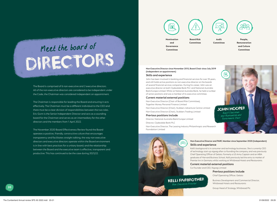# DIRECTORS Meet the board of

The Board is comprised of 6 non-executive and 2 executive directors. All of the non-executive directors are considered to be independent under the Code; the Chairman was considered independent on appointment.

The Chairman is responsible for leading the Board and ensuring it acts effectively. The Chairman must be a different individual to the CEO and there must be a clear division of responsibilities between the two roles. Eric Gunn is the Senior Independent Director and acts as a sounding board for the Chairman and serves as an intermediary for the other directors and the members from 1 April 2022.

The November 2020 Board Effectiveness Review found the Board operates a positive, friendly, constructive culture that encourages transparency and facilitates straight talking; the way non executive directors and executive directors operate within the Board environment is in line with best practices for a unitary board; and the relationship between the Board and the executive team is effective, transparent and productive. This has continued to be the case during 2021/22.

E **Nomination Board Risk Audit Committee**

**and Governance Committee**

**Committee**

**People, Remuneration and Culture Committee**

### **Non-Executive Director since November 2015, Board Chair since July 2019 (independent on appointment)**

#### **Skills and experience**

John has been involved in banking and financial services for over 35 years, and still holds active positions as non-executive director on the boards of several financial services companies. During his career, John was an executive director at both Clydesdale Bank PLC and National Australia Bank Europe Limited. Whilst at National Australia Bank, he held a number of senior positions and was a member of its executive committee.

#### **Current material external positions**

Non-Executive Director (Chair of Board Risk Committee), Together Money Personal Finance Limited

Non-Executive Director (Chair), Stubbers Adventure Centre Limited Non-Executive Director (Chair), Stubbers Trading Limited

### **Previous positions include**

Director, National Australia Bank Europe Limited Director, Clydesdale Bank PLC

Non-Executive Director, The Leasing Industry Philanthropic and Research Foundation Limited

**SHOP** 

KELLI FAIRBROTHER Non-Executive Director

### Non-Executive Director and PARC Member since September 2020 (independent) **(independent on appointment) Skills and experience**

JOHN HOOPER Board Chairman and Nomination an<sup>d</sup> Governance Chair

í€

**Skills and experience** Kelli's background is in consumer and technology businesses. She is currently CEO of technology start-up xigxag after co-founding the company, and was previously Chief Operating Officer of Gelato. Formerly a US Army Captain and an MBA graduate of Harvard Business School, Kelli previously led the entry to market of Premier Inn in Germany whilst working at Whitbread Hotels and Restaurants.

### **Bank Europe Limited at National Australia Bank, he held and anumber of the held anumber of the held and anumber of the held anumber of the held anumber of the held anumber of the held anumber of the held anumber of the he**

of senior positions and was a member of its executive committee. Co-Founder and CEO, Xigxag Limited

### **Current material external positions Previous positions include**

Non-Executive Director (Chair of Board Risk Committee), **Together Money Personal Finance Limited Chief Operating Officer, Gelato** 

**NON-Executive** Business Development and Commercial Director,  $\begin{array}{lll} \textcolor{red}{\textbf{1}} & \textcolor{red}{\textbf{W}}\textsf{hitbread Hotels} \textcolor{red}{\textbf{and} } \textcolor{red}{\textbf{Restavrants}} \end{array}$ 

**Provided** Bread of Strategy, Whitbread Plc **Previous positions include the Crown Head of Strategy, Whitbread Plc**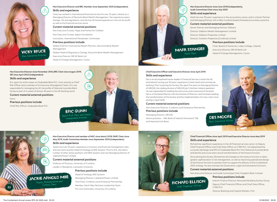

### **Non-Executive Director and BRC Member since September 2020 (independent) Skills and experience**

Vicky has worked in international financial services for over 25 years, latterly as a Managing Director of Deutsche Bank Wealth Management. Her experience spans change, risk and regulations, and she has UK board experience in the not-for-profit as well as the financial services sector.

### **Current material external positions**

Non-Executive Trustee, Hope and Homes for Children

Non-Executive Trustee, Agitos Foundation

Consultant, International Paralympic Committee

### **Previous positions include**

Global COO for Institutional Wealth Partners, Deutsche Bank Wealth Management

Global Head of Regulatory Change, Deutsche Bank Wealth Management Executive Director, DB UK Bank Ltd Head of Change Management, Coutts

### **Non-Executive Director since November 2016, BRC Chair since August 2019, SID since April 2022 (independent)**

#### **Skills and experience**

Eric spent his entire career at Clydesdale Bank PLC, most recently as Chief Risk Officer and a member of its Executive Management Team. Eric was responsible for managing the UK risk profile of National Australia Bank Group as part of a career of almost 40 years in the UK banking sector.

**Current material external positions**

None

**Previous positions include**

Chief Risk Officer, Clydesdale Bank PLC



### **Non-Executive Director since June 2018 (independent), Audit Committee Chair since July 2020**

### **Skills and experience**

Mark has over 30 years' experience in the accountancy sector, and is a Senior Partner and Managing Partner with a West Cumbria-based chartered accountancy practice.

#### **Current material external positions**

Senior Partner and Managing Partner, Gibbons Director, Gibbons Wealth Management Limited Director, Gibbons Properties Limited Director, Carleton Properties (Cumbria) Limited

#### **Previous positions include**

Chair, Board of Governors, Lakes College, Lillyhall Executive Director, DB UK Bank Ltd Head of Change Management, Coutts

### **Chief Executive Officer and Executive Director since April 2018 Skills and experience**

Des is an accomplished senior leader in Financial Services in both the UK and Ireland, having over 30 years' experience in both retail and commercial banking. Prior to joining the Society, Des spent five years as Managing Director of AIB (NI), the trading division of AIB (UK) plc's Northern Ireland operation. He was responsible for leading the restructure and turnaround of the bank. Des is a Chartered Director with the Institute of Directors, and has been leading the transformation of the Society and the implementation of a new vision since joining in April 2018.

MARK STANGER Audit Chair

 $\sqrt{\frac{\xi}{\lambda}}$ 

### **Current material external positions**

Non-Executive Director, Cumbria Local Enterprise Partnership **Previous positions include**

Managing Director, AIB (NI) Senior positions – AIB, Bank of Ireland, Permanent TSB and National Irish Bank





**Non-Executive Director and member of NGC since March 2018, PARC Chair since May 2019, Audit Committee Member since September 2020 (independent)**

### **Skills and experience**

Jackie has over 35 years' experience in business and financial management roles, and was most recently Head of Strategy at BAE Systems. Prior to this, she held a number of other senior positions with BAE Systems and was Managing Director of Lakeland Power Limited.

### **Current material external positions**

Professor of Practice, University of Cumbria Leader in Residence, Lancaster University

### **Previous positions include**

Head of Strategy, BAE Systems Managing Director, Lakeland Power Limited Vice Chair, Cumbria Local Enterprise Partnership Member, North West Business Leadership Team Pro-vice Chancellor, University of Cumbria



### **Chief Financial Officer since April 2019 and Executive Director since May 2019 Skills and experience**

Richard has significant experience in the UK financial services sector. As Deputy Chief Financial Officer and Chief Data Officer at CYBG PLC, he helped lead the successful demerger and IPO of Clydesdale Bank PLC from National Australia Bank, and led the restructure and cultural transformation of the finance function.

Since joining the Society, Richard has led changes to the treasury function to allow greater sophistication in risk management, as well as improving operational design of the finance function to position them to support the delivery of the Cumberland 2025 strategy. He also oversees the Governance, Legal and Secretariat functions.

### **Current material external positions**

Non-Executive Director and Audit Committee Chair, Kingdom Bank Limited

### **Previous positions include**

Interim Finance Director, Newcastle Building Society Group Deputy Chief Financial Officer and Chief Data Officer, CYBG PLC

Director Banking and Capital Markets, PwC